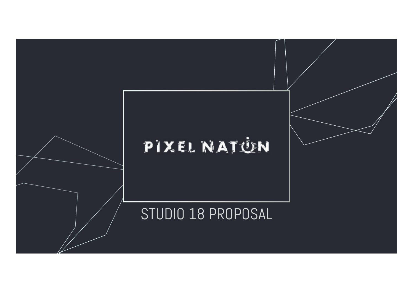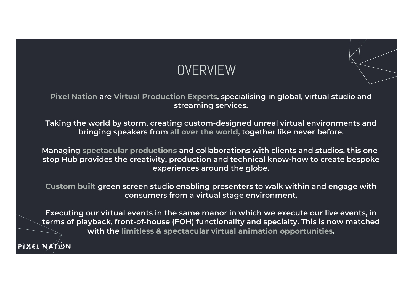

Pixel Nation are Virtual Production Experts, specialising in global, virtual studio and streaming services.

Taking the world by storm, creating custom-designed unreal virtual environments and bringing speakers from all over the world, together like never before.

Managing spectacular productions and collaborations with clients and studios, this onestop Hub provides the creativity, production and technical know-how to create bespoke experiences around the globe.

Custom built green screen studio enabling presenters to walk within and engage with consumers from a virtual stage environment.

Executing our virtual events in the same manor in which we execute our live events, in terms of playback, front-of-house (FOH) functionality and specialty. This is now matched with the limitless & spectacular virtual animation opportunities.

**PIXEL NATUN**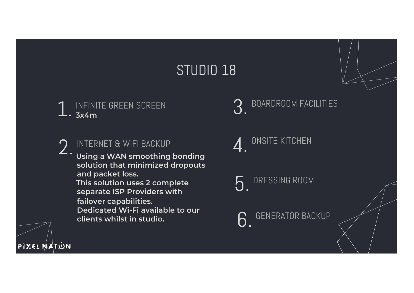# STUDIO 18 1. INFINITE GREEN SCREEN INTERNET & WIFI BACKUP Using a WAN smoothing bonding solution that minimized dropouts and packet loss. This solution uses 2 complete separate ISP Providers with failover capabilities. Dedicated Wi-Fi available to our clients whilst in studio. 2. BOARDROOM FACILITIES  $\boldsymbol{A}$  ONSITE KITCHEN DRESSING ROOM 6. GENERATOR BACKUP

PIXEL MATUN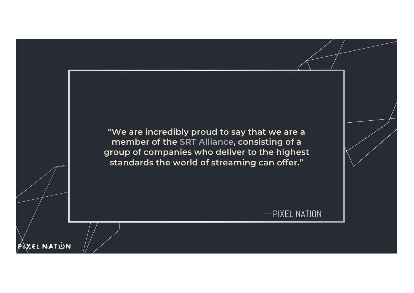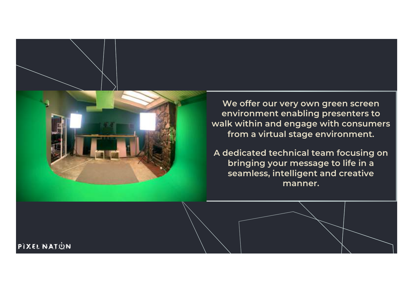

We offer our very own green screen environment enabling presenters to walk within and engage with consumers from a virtual stage environment.

A dedicated technical team focusing on bringing your message to life in a seamless, intelligent and creative manner.

PIXEL NATUN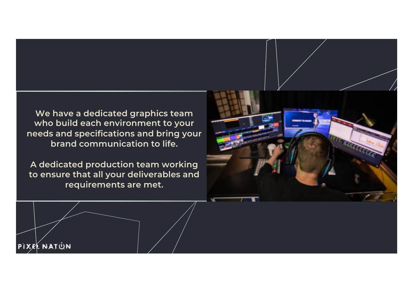We have a dedicated graphics team who build each environment to your needs and specifications and bring your brand communication to life.

A dedicated production team working to ensure that all your deliverables and requirements are met.



PIXEL NATUN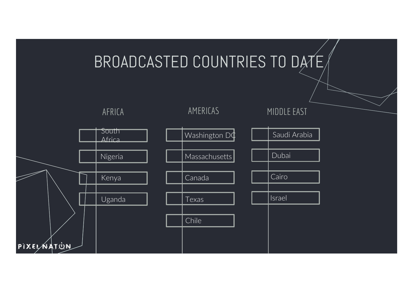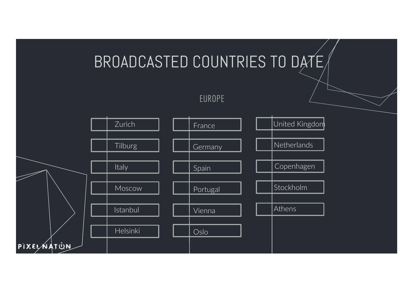### BROADCASTED COUNTRIES TO DATE EUROPE Zurich Tilburg Italy Moscow Istanbul Helsinki France Germany Spain Portugal Vienna Oslo United Kingdom Netherlands Copenhagen Stockholm **Athens**

PIXELAATUN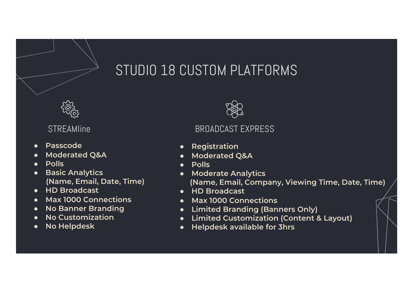# STUDIO 18 CUSTOM PLATFORMS



- Passcode
- Moderated Q&A
- Polls
- Basic Analytics (Name, Email, Date, Time)
- HD Broadcast
- Max 1000 Connections
- No Banner Branding
- No Customization
- No Helpdesk



## STREAMline BROADCAST EXPRESS

- Registration
- Moderated Q&A
- Polls
- **Moderate Analytics** (Name, Email, Company, Viewing Time, Date, Time)
- HD Broadcast
- Max 1000 Connections
- Limited Branding (Banners Only)
- Limited Customization (Content & Layout)
- **Helpdesk available for 3hrs**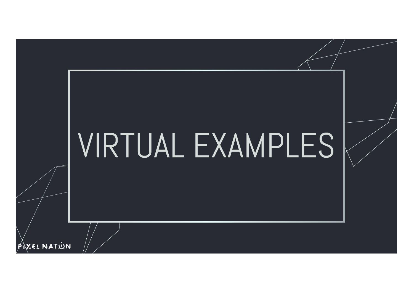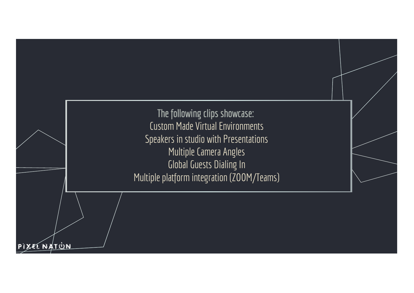The following clips showcase: Custom Made Virtual Environments Speakers in studio with Presentations Multiple Camera Angles Global Guests Dialing In Multiple platform integration (ZOOM/Teams)

XEL NAT<u>ùn</u>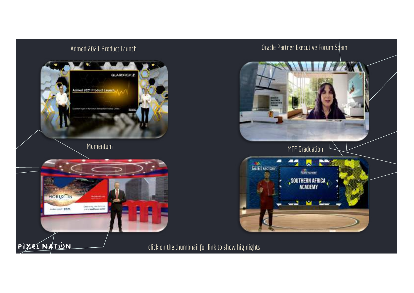



click on the thumbnail for link to show highlights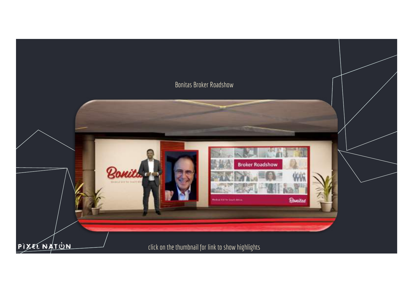